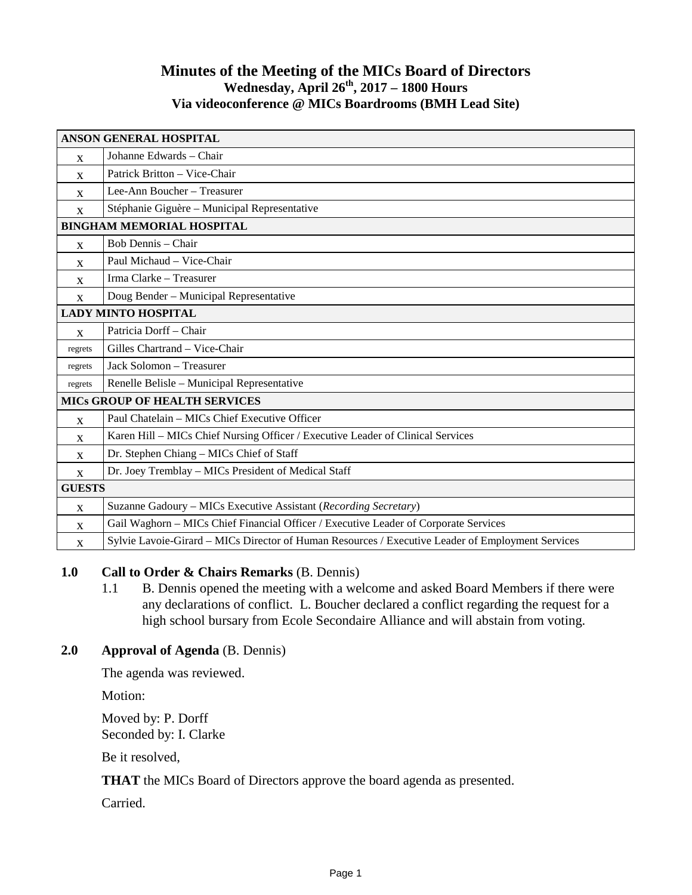# **Minutes of the Meeting of the MICs Board of Directors Wednesday, April 26th, 2017 – 1800 Hours Via videoconference @ MICs Boardrooms (BMH Lead Site)**

| <b>ANSON GENERAL HOSPITAL</b>        |                                                                                                   |
|--------------------------------------|---------------------------------------------------------------------------------------------------|
| X                                    | Johanne Edwards - Chair                                                                           |
| X                                    | Patrick Britton - Vice-Chair                                                                      |
| X                                    | Lee-Ann Boucher - Treasurer                                                                       |
| X                                    | Stéphanie Giguère - Municipal Representative                                                      |
| <b>BINGHAM MEMORIAL HOSPITAL</b>     |                                                                                                   |
| $\mathbf{x}$                         | Bob Dennis - Chair                                                                                |
| X                                    | Paul Michaud - Vice-Chair                                                                         |
| $\mathbf{x}$                         | Irma Clarke - Treasurer                                                                           |
| $\mathbf{X}$                         | Doug Bender - Municipal Representative                                                            |
| <b>LADY MINTO HOSPITAL</b>           |                                                                                                   |
| X                                    | Patricia Dorff - Chair                                                                            |
| regrets                              | Gilles Chartrand - Vice-Chair                                                                     |
| regrets                              | Jack Solomon - Treasurer                                                                          |
| regrets                              | Renelle Belisle - Municipal Representative                                                        |
| <b>MICS GROUP OF HEALTH SERVICES</b> |                                                                                                   |
| X                                    | Paul Chatelain - MICs Chief Executive Officer                                                     |
| X                                    | Karen Hill - MICs Chief Nursing Officer / Executive Leader of Clinical Services                   |
| X                                    | Dr. Stephen Chiang - MICs Chief of Staff                                                          |
| $\mathbf{x}$                         | Dr. Joey Tremblay - MICs President of Medical Staff                                               |
| <b>GUESTS</b>                        |                                                                                                   |
| X                                    | Suzanne Gadoury - MICs Executive Assistant (Recording Secretary)                                  |
| X                                    | Gail Waghorn - MICs Chief Financial Officer / Executive Leader of Corporate Services              |
| X                                    | Sylvie Lavoie-Girard - MICs Director of Human Resources / Executive Leader of Employment Services |

## **1.0 Call to Order & Chairs Remarks** (B. Dennis)

1.1 B. Dennis opened the meeting with a welcome and asked Board Members if there were any declarations of conflict. L. Boucher declared a conflict regarding the request for a high school bursary from Ecole Secondaire Alliance and will abstain from voting.

#### **2.0 Approval of Agenda** (B. Dennis)

The agenda was reviewed.

Motion:

Moved by: P. Dorff Seconded by: I. Clarke

Be it resolved,

**THAT** the MICs Board of Directors approve the board agenda as presented.

Carried.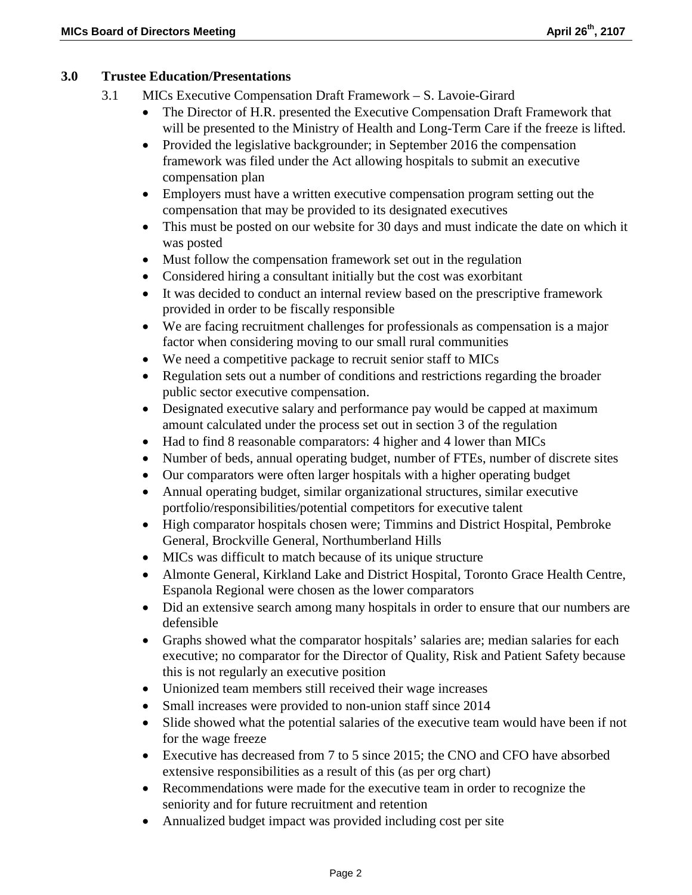# **3.0 Trustee Education/Presentations**

- 3.1 MICs Executive Compensation Draft Framework S. Lavoie-Girard
	- The Director of H.R. presented the Executive Compensation Draft Framework that will be presented to the Ministry of Health and Long-Term Care if the freeze is lifted.
	- Provided the legislative backgrounder; in September 2016 the compensation framework was filed under the Act allowing hospitals to submit an executive compensation plan
	- Employers must have a written executive compensation program setting out the compensation that may be provided to its designated executives
	- This must be posted on our website for 30 days and must indicate the date on which it was posted
	- Must follow the compensation framework set out in the regulation
	- Considered hiring a consultant initially but the cost was exorbitant
	- It was decided to conduct an internal review based on the prescriptive framework provided in order to be fiscally responsible
	- We are facing recruitment challenges for professionals as compensation is a major factor when considering moving to our small rural communities
	- We need a competitive package to recruit senior staff to MICs
	- Regulation sets out a number of conditions and restrictions regarding the broader public sector executive compensation.
	- Designated executive salary and performance pay would be capped at maximum amount calculated under the process set out in section 3 of the regulation
	- Had to find 8 reasonable comparators: 4 higher and 4 lower than MICs
	- Number of beds, annual operating budget, number of FTEs, number of discrete sites
	- Our comparators were often larger hospitals with a higher operating budget
	- Annual operating budget, similar organizational structures, similar executive portfolio/responsibilities/potential competitors for executive talent
	- High comparator hospitals chosen were; Timmins and District Hospital, Pembroke General, Brockville General, Northumberland Hills
	- MICs was difficult to match because of its unique structure
	- Almonte General, Kirkland Lake and District Hospital, Toronto Grace Health Centre, Espanola Regional were chosen as the lower comparators
	- Did an extensive search among many hospitals in order to ensure that our numbers are defensible
	- Graphs showed what the comparator hospitals' salaries are; median salaries for each executive; no comparator for the Director of Quality, Risk and Patient Safety because this is not regularly an executive position
	- Unionized team members still received their wage increases
	- Small increases were provided to non-union staff since 2014
	- Slide showed what the potential salaries of the executive team would have been if not for the wage freeze
	- Executive has decreased from 7 to 5 since 2015; the CNO and CFO have absorbed extensive responsibilities as a result of this (as per org chart)
	- Recommendations were made for the executive team in order to recognize the seniority and for future recruitment and retention
	- Annualized budget impact was provided including cost per site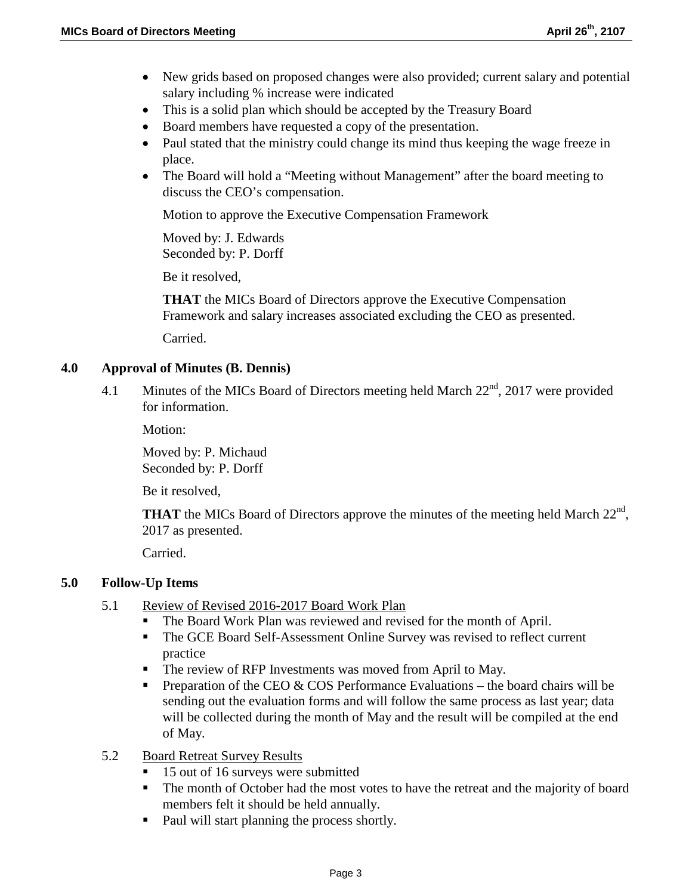- New grids based on proposed changes were also provided; current salary and potential salary including % increase were indicated
- This is a solid plan which should be accepted by the Treasury Board
- Board members have requested a copy of the presentation.
- Paul stated that the ministry could change its mind thus keeping the wage freeze in place.
- The Board will hold a "Meeting without Management" after the board meeting to discuss the CEO's compensation.

Motion to approve the Executive Compensation Framework

Moved by: J. Edwards Seconded by: P. Dorff

Be it resolved,

**THAT** the MICs Board of Directors approve the Executive Compensation Framework and salary increases associated excluding the CEO as presented. Carried.

## **4.0 Approval of Minutes (B. Dennis)**

4.1 Minutes of the MICs Board of Directors meeting held March 22<sup>nd</sup>, 2017 were provided for information.

Motion:

Moved by: P. Michaud Seconded by: P. Dorff

Be it resolved,

**THAT** the MICs Board of Directors approve the minutes of the meeting held March  $22<sup>nd</sup>$ , 2017 as presented.

Carried.

#### **5.0 Follow-Up Items**

- 5.1 Review of Revised 2016-2017 Board Work Plan
	- The Board Work Plan was reviewed and revised for the month of April.
	- The GCE Board Self-Assessment Online Survey was revised to reflect current practice
	- The review of RFP Investments was moved from April to May.
	- **Preparation of the CEO & COS Performance Evaluations the board chairs will be** sending out the evaluation forms and will follow the same process as last year; data will be collected during the month of May and the result will be compiled at the end of May.
- 5.2 Board Retreat Survey Results
	- 15 out of 16 surveys were submitted
	- The month of October had the most votes to have the retreat and the majority of board members felt it should be held annually.
	- Paul will start planning the process shortly.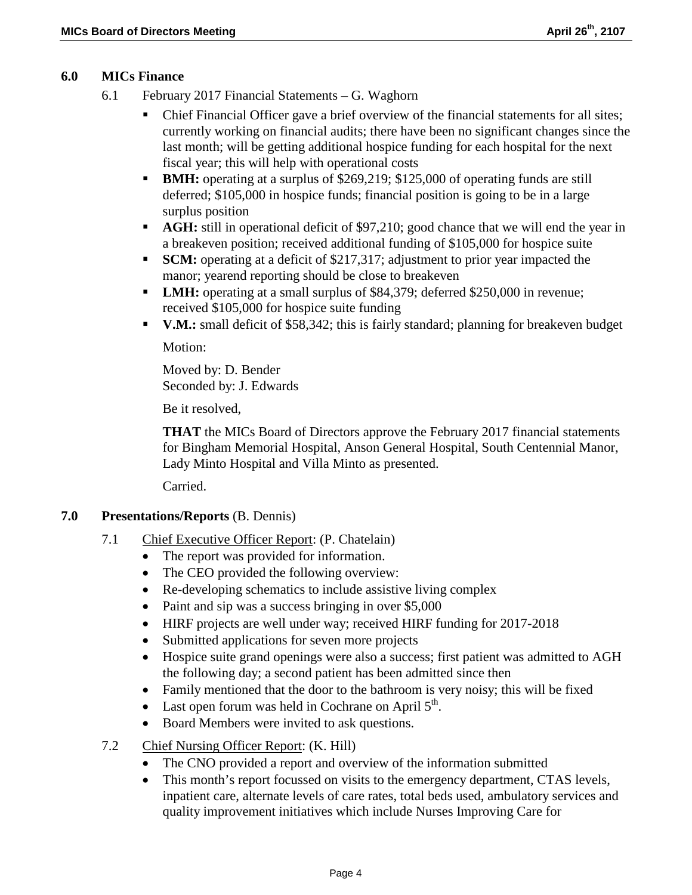- 6.1 February 2017 Financial Statements G. Waghorn
	- Chief Financial Officer gave a brief overview of the financial statements for all sites; currently working on financial audits; there have been no significant changes since the last month; will be getting additional hospice funding for each hospital for the next fiscal year; this will help with operational costs
	- **BMH:** operating at a surplus of \$269,219; \$125,000 of operating funds are still deferred; \$105,000 in hospice funds; financial position is going to be in a large surplus position
	- **AGH:** still in operational deficit of \$97,210; good chance that we will end the year in a breakeven position; received additional funding of \$105,000 for hospice suite
	- **SCM:** operating at a deficit of \$217,317; adjustment to prior year impacted the manor; yearend reporting should be close to breakeven
	- **LMH:** operating at a small surplus of \$84,379; deferred \$250,000 in revenue; received \$105,000 for hospice suite funding
	- **V.M.:** small deficit of \$58,342; this is fairly standard; planning for breakeven budget Motion:

Moved by: D. Bender

Seconded by: J. Edwards

Be it resolved,

**THAT** the MICs Board of Directors approve the February 2017 financial statements for Bingham Memorial Hospital, Anson General Hospital, South Centennial Manor, Lady Minto Hospital and Villa Minto as presented.

Carried.

# **7.0 Presentations/Reports** (B. Dennis)

- 7.1 Chief Executive Officer Report: (P. Chatelain)
	- The report was provided for information.
	- The CEO provided the following overview:
	- Re-developing schematics to include assistive living complex
	- Paint and sip was a success bringing in over \$5,000
	- HIRF projects are well under way; received HIRF funding for 2017-2018
	- Submitted applications for seven more projects
	- Hospice suite grand openings were also a success; first patient was admitted to AGH the following day; a second patient has been admitted since then
	- Family mentioned that the door to the bathroom is very noisy; this will be fixed
	- Last open forum was held in Cochrane on April  $5<sup>th</sup>$ .
	- Board Members were invited to ask questions.
- 7.2 Chief Nursing Officer Report: (K. Hill)
	- The CNO provided a report and overview of the information submitted
	- This month's report focussed on visits to the emergency department, CTAS levels, inpatient care, alternate levels of care rates, total beds used, ambulatory services and quality improvement initiatives which include Nurses Improving Care for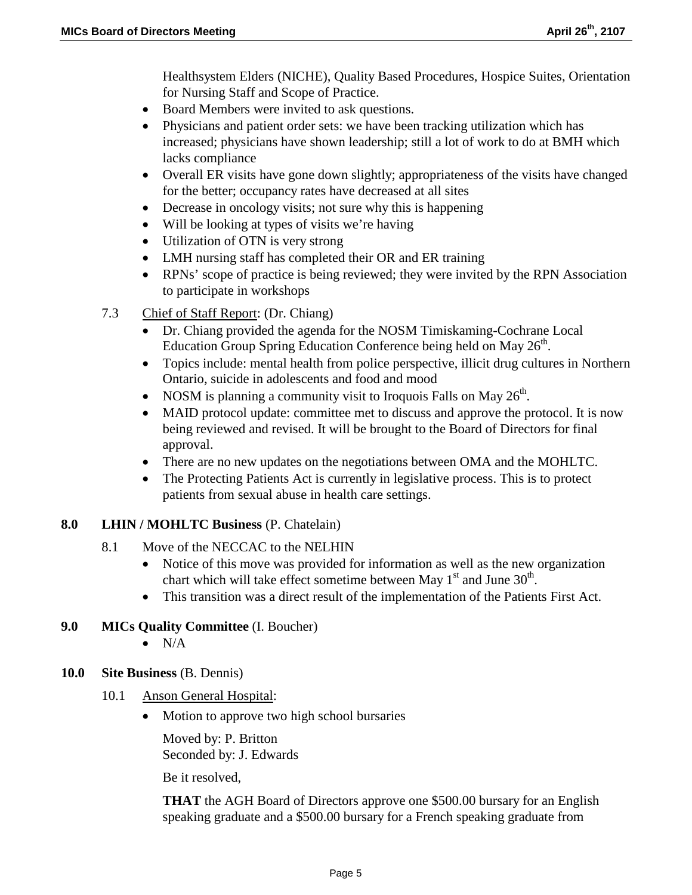Healthsystem Elders (NICHE), Quality Based Procedures, Hospice Suites, Orientation for Nursing Staff and Scope of Practice.

- Board Members were invited to ask questions.
- Physicians and patient order sets: we have been tracking utilization which has increased; physicians have shown leadership; still a lot of work to do at BMH which lacks compliance
- Overall ER visits have gone down slightly; appropriateness of the visits have changed for the better; occupancy rates have decreased at all sites
- Decrease in oncology visits; not sure why this is happening
- Will be looking at types of visits we're having
- Utilization of OTN is very strong
- LMH nursing staff has completed their OR and ER training
- RPNs' scope of practice is being reviewed; they were invited by the RPN Association to participate in workshops
- 7.3 Chief of Staff Report: (Dr. Chiang)
	- Dr. Chiang provided the agenda for the NOSM Timiskaming-Cochrane Local Education Group Spring Education Conference being held on May 26<sup>th</sup>.
	- Topics include: mental health from police perspective, illicit drug cultures in Northern Ontario, suicide in adolescents and food and mood
	- NOSM is planning a community visit to Iroquois Falls on May  $26<sup>th</sup>$ .
	- MAID protocol update: committee met to discuss and approve the protocol. It is now being reviewed and revised. It will be brought to the Board of Directors for final approval.
	- There are no new updates on the negotiations between OMA and the MOHLTC.
	- The Protecting Patients Act is currently in legislative process. This is to protect patients from sexual abuse in health care settings.

# **8.0 LHIN / MOHLTC Business** (P. Chatelain)

- 8.1 Move of the NECCAC to the NELHIN
	- Notice of this move was provided for information as well as the new organization chart which will take effect sometime between May  $1<sup>st</sup>$  and June  $30<sup>th</sup>$ .
	- This transition was a direct result of the implementation of the Patients First Act.

# **9.0 MICs Quality Committee** (I. Boucher)

- $\bullet$  N/A
- **10.0 Site Business** (B. Dennis)
	- 10.1 Anson General Hospital:
		- Motion to approve two high school bursaries

Moved by: P. Britton Seconded by: J. Edwards

Be it resolved,

**THAT** the AGH Board of Directors approve one \$500.00 bursary for an English speaking graduate and a \$500.00 bursary for a French speaking graduate from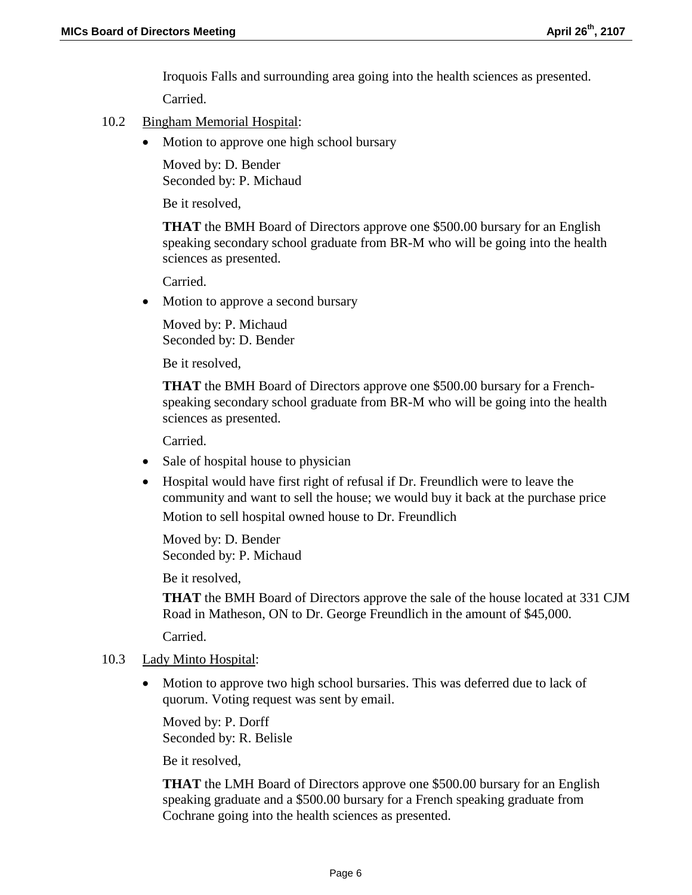Iroquois Falls and surrounding area going into the health sciences as presented.

Carried.

- 10.2 Bingham Memorial Hospital:
	- Motion to approve one high school bursary

Moved by: D. Bender Seconded by: P. Michaud

Be it resolved,

**THAT** the BMH Board of Directors approve one \$500.00 bursary for an English speaking secondary school graduate from BR-M who will be going into the health sciences as presented.

Carried.

• Motion to approve a second bursary

Moved by: P. Michaud Seconded by: D. Bender

Be it resolved,

**THAT** the BMH Board of Directors approve one \$500.00 bursary for a Frenchspeaking secondary school graduate from BR-M who will be going into the health sciences as presented.

Carried.

- Sale of hospital house to physician
- Hospital would have first right of refusal if Dr. Freundlich were to leave the community and want to sell the house; we would buy it back at the purchase price Motion to sell hospital owned house to Dr. Freundlich

Moved by: D. Bender Seconded by: P. Michaud

Be it resolved,

**THAT** the BMH Board of Directors approve the sale of the house located at 331 CJM Road in Matheson, ON to Dr. George Freundlich in the amount of \$45,000.

Carried.

#### 10.3 Lady Minto Hospital:

• Motion to approve two high school bursaries. This was deferred due to lack of quorum. Voting request was sent by email.

Moved by: P. Dorff Seconded by: R. Belisle

Be it resolved,

**THAT** the LMH Board of Directors approve one \$500.00 bursary for an English speaking graduate and a \$500.00 bursary for a French speaking graduate from Cochrane going into the health sciences as presented.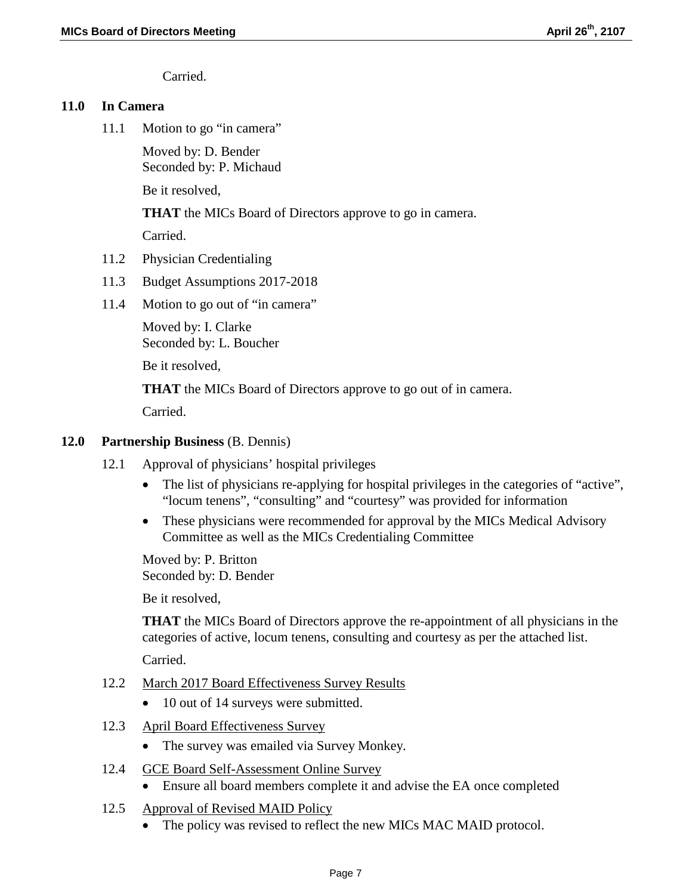Carried.

## **11.0 In Camera**

11.1 Motion to go "in camera"

Moved by: D. Bender Seconded by: P. Michaud

Be it resolved,

**THAT** the MICs Board of Directors approve to go in camera.

Carried.

- 11.2 Physician Credentialing
- 11.3 Budget Assumptions 2017-2018
- 11.4 Motion to go out of "in camera"

Moved by: I. Clarke Seconded by: L. Boucher

Be it resolved,

**THAT** the MICs Board of Directors approve to go out of in camera.

Carried.

#### **12.0 Partnership Business** (B. Dennis)

- 12.1 Approval of physicians' hospital privileges
	- The list of physicians re-applying for hospital privileges in the categories of "active", "locum tenens", "consulting" and "courtesy" was provided for information
	- These physicians were recommended for approval by the MICs Medical Advisory Committee as well as the MICs Credentialing Committee

Moved by: P. Britton Seconded by: D. Bender

Be it resolved,

**THAT** the MICs Board of Directors approve the re-appointment of all physicians in the categories of active, locum tenens, consulting and courtesy as per the attached list.

Carried.

- 12.2 March 2017 Board Effectiveness Survey Results
	- 10 out of 14 surveys were submitted.
- 12.3 April Board Effectiveness Survey
	- The survey was emailed via Survey Monkey.
- 12.4 GCE Board Self-Assessment Online Survey
	- Ensure all board members complete it and advise the EA once completed
- 12.5 Approval of Revised MAID Policy
	- The policy was revised to reflect the new MICs MAC MAID protocol.